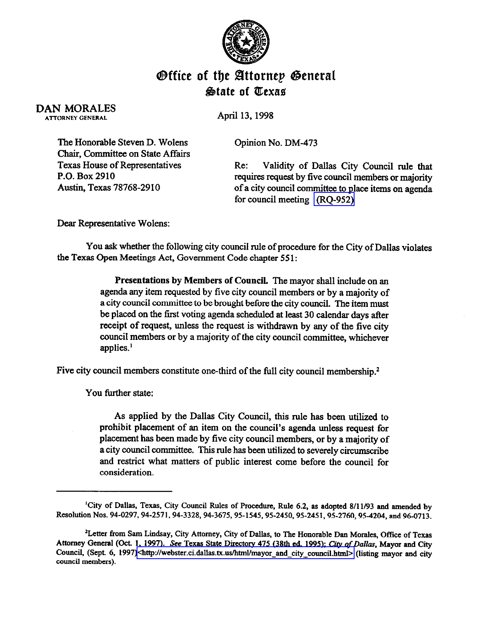

## **Office of the Attornep General** &ate of QCexae

DAN MORALES **ATTORNEY GENERAL** 

April 13,1998

Opinion No. DM-473

The Honorable Steven D. Wolens Chair, Committee on State Affairs Texas House of Representatives P.O. Box 2910 Austin, Texas 78768-2910

Re: Validity of Dallas City Council rule that requires request by five council members or majority of a city council committee to place items on agenda for council meeting [\(RQ-952\)](http://intranet1.oag.state.tx.us/opinions/requests/rq0952.pdf) 

Dear Representative Wolens:

You ask whether the following city council rule of procedure for the City of Dallas violates the Texas Gpen Meetings Act, Government Code chapter 55 1:

> Presentations by Members of Council. The mayor shall include on an agenda any item requested by five city council members or by a majority of a city council committee to be brought before the city council. The item must be placed on the first voting agenda scheduled at least 30 calendar days after receipt of request, unless the request is withdrawn by any of the five city council members or by a majority of the city council committee, whichever applies.'

Five city council members constitute one-third of the full city council membership.<sup>2</sup>

You further state:

As applied by the Dallas City Council, this rule has been utilized to prohibit placement of an item on the council's agenda unless request for placement has been made by five city council members, or by a majority of a city council committee. This rule has been utilized to severely circumscribe and restrict what matters of public interest come before the council for consideration.

<sup>&</sup>lt;sup>1</sup>City of Dallas, Texas, City Council Rules of Procedure, Rule 6.2, as adopted 8/11/93 and amended by **Resolution Nos. 94-0297,94-2571,94-3328,94-3675,95-1545,95-2450,95-2451,95-2760, 954204, and 96-0713.** 

<sup>&</sup>lt;sup>2</sup>Letter from Sam Lindsay, City Attorney, City of Dallas, to The Honorable Dan Morales, Office of Texas Attorney General (Oct. 1, 1997). See Texas State Directory 475 (38th ed. 1995); *City of Dallas*, Mayor and City Council, (Sept. 6, 1997)<http://webster.ci.dallas.tx.us/html/mayor and city council.html> (listing mayor and city **council members).**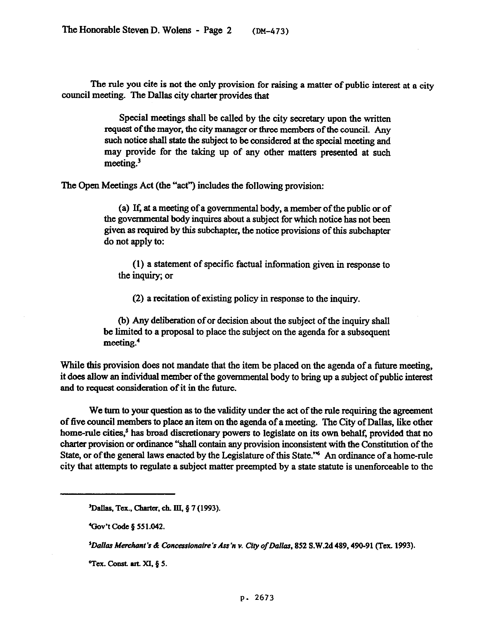The rule you cite is not the only provision for raising a matter of public interest at a city council meeting. The Dallas city charter provides that

> Special meetings shall be called by the city secretary upon the written request of the mayor, the city manager or three members of the council. Any such notice shall state the subject to be considered at the special meeting and may provide for the taking up of any other matters presented at such meeting.<sup>3</sup>

The Open Meetings Act (the "act") includes the following provision:

(a) If, at a meeting of a governmental body, a member of the public or of the governmental body inquires about a subject for which notice has not been given as tequired by this subchapter, the notice provisions of this subchapter do not apply to:

(1) a statement of specific factual information given in response to the inquiry; or

(2) a recitation of existing policy in response to the inquiry.

(b) Any deliberation of or decision about the subject of the inquiry shall be limited to a proposal to place the subject on the agenda for a subsequent meeting.'

While this provision does not mandate that the item be placed on the agenda of a future meeting, it does allow an individual member of the governmental body to bring up a subject of public interest and to request consideration of it in the future.

We turn to your question as to the validity under the act of the rule requiring the agreement of five council members to place an item on the agenda of a meeting. The City of Dallas, like other home-rule cities,<sup>5</sup> has broad discretionary powers to legislate on its own behalf, provided that no charter provision or ordinance "shah contain any provision inconsistent with the Constitution of the State, or of the general laws enacted by the Legislature of this State."<sup>6</sup> An ordinance of a home-rule city that attempts to regulate a subject matter preempted by a state statute is unenforceable to the

<sup>&</sup>lt;sup>3</sup>Dallas, Tex., Charter, ch. III, § 7 (1993).

**<sup>&#</sup>x27;Gov't Code § 551.042.** 

<sup>&</sup>lt;sup>5</sup>Dallas Merchant's & Concessionaire 's Ass 'n v. City of Dallas, 852 S.W.2d 489, 490-91 (Tex. 1993).

 $^6$ Tex. Const. art. XI, § 5.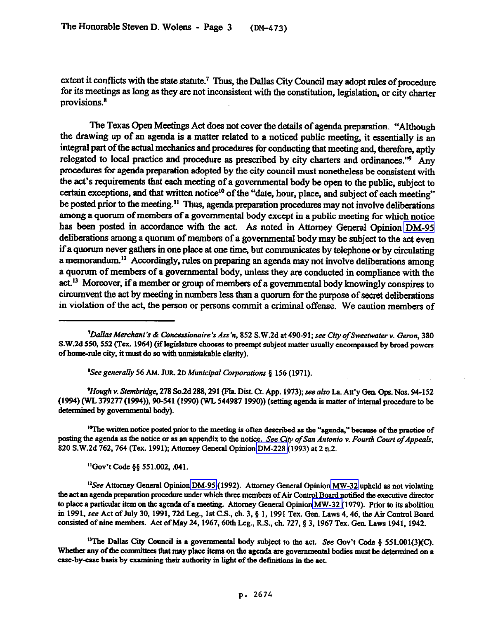extent it conflicts with the state statute.<sup>7</sup> Thus, the Dallas City Council may adopt rules of procedure for its meetings as long as they are not inconsistent with the constitution, legislation, or city charter provisions.\*

The Texas Open Meetings Act does not cover the details of agenda preparation. "Although the drawing up of an agenda is a matter related to a noticed public meeting, it essentially is an integral part of the actual mechanics and procedures for conducting that meeting and, therefore, aptly relegated to local practice and procedure as prescribed by city charters and ordinances."<sup>9</sup> Any procedures for agenda preparation adopted by the city council must nonetheless be consistent with the act's requirements that each meeting of a govermnental body be open to the public, subject to certain exceptions, and that written notice<sup>10</sup> of the "date, hour, place, and subject of each meeting" be posted prior to the meeting.<sup>11</sup> Thus, agenda preparation procedures may not involve deliberations among a quorum of members of a governmental body except in a public meeting for which notice has been posted in accordance with the act. As noted in Attorney General Opinion [DM-95](dm095.pdf)  deliberations among a quorum of members of a govermnental body may be subject to the act even if a quorum never gathers in one place at one time, but communicates by telephone or by circulating a memorandum.<sup>12</sup> Accordingly, rules on preparing an agenda may not involve deliberations among a quorum of members of a governmental body, unless they are conducted in compliance with the act.<sup>13</sup> Moreover, if a member or group of members of a governmental body knowingly conspires to circumvent the act by meeting in numbers less than a quorum for the purpose of secret deliberations in violation of the act, the person or persons commit a criminal offense. We caution members of

**'Seegenerally** *56* **Ahi. JUR.** 20 *Municipal Gwporatiom 5* **156 (1971).** 

*'Hough v. Stembridge, 278 So.2d 288, 291 (Fla. Dist. Ct. App. 1973); see also La. Att'y Gen. Ops. Nos. 94-152* **(1994) (WL 379277 (1994)), 90-541(1990) (WL 544987 1990)) (setting agenda is matter of internal procedure to be**  determined by governmental body).

<sup>10</sup>The written notice posted prior to the meeting is often described as the "agenda," because of the practice of *posting the agenda as the notice or as an appendix to the notice. See Ciry of San Antonio v. Fourth Court ofAppeals, 820* **S.W.Zd 762,761 (Tex. 1991); Attorney General Opinion [DM-228](http://intranet1.oag.state.tx.us/opinions/dm/dm228.pdf) (1993) at 2 n.2.** 

**"G&t cc-de** *pp 5s1.002,* **all.** 

<sup>12</sup>See Attorney General Opinion [DM-95](http://intranet1.oag.state.tx.us/opinions/dm/dm095.pdf) (1992). Attorney General Opinion MW-32 upheld as not violating the act an agenda preparation procedure under which three members of Air Control Board notified the executive director to place a particular item on the agenda of a meeting. Attorney General Opinion [MW-32 \(](http://intranet1.oag.state.tx.us/opinions/mw/mw032.pdf)1979). Prior to its abolition in 1991, see Act of July 30, 1991, 72d Leg., 1st C.S., ch. 3, § 1, 1991 Tex. Gen. Laws 4, 46, the Air Control Board consisted of nine members. Act of May 24, 1967, 60th Leg., R.S., ch. 727, § 3, 1967 Tex. Gen. Laws 1941, 1942.

<sup>13</sup>The Dallas City Council is a governmental body subject to the act. See Gov't Code § 551.001(3)(C). Whether any of the committees that may place items on the agenda are governmental bodies must be determined on a case-by-case basis by examining their authority in light of the definitions in the act.

*<sup>&</sup>lt;sup>1</sup>Dallas Merchant's & Concessionaire 's Ass'n, 852 S.W.2d at 490-91; see City of Sweetwater v. Geron, 380* S.W.2d 550, 552 (Tex. 1964) (if legislature chooses to preempt subject matter usually encompassed by broad powers of home-rule city, it must do so with unmistakable clarity).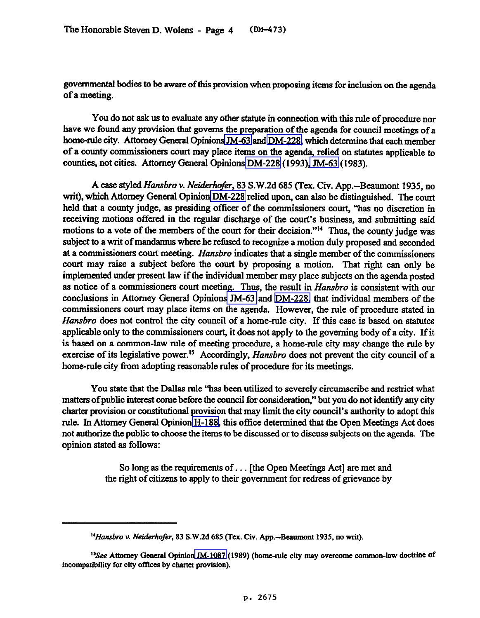governmental bodies to be aware of this provision when proposing items for inclusion on the agenda of a meeting.

You do not ask us to evaluate any other statute in connection with this rule of procedure nor have we found any provision that governs the preparation of the agenda for council meetings of a home-rule city. Attorney General Opinions JM-63 and [DM-228,](http://intranet1.oag.state.tx.us/opinions/dm/dm228.pdf) which determine that each member of a county commissioners court may place items on the agenda, relied on statutes applicable to counties, not cities. Attorney General Opinions [DM-228](http://intranet1.oag.state.tx.us/opinions/dm/dm228.pdf) (1993), [JM-63](http://intranet1.oag.state.tx.us/opinions/jm/jm0063.pdf) (1983).

A case styled *Hansbro* v. *Neiderhofer,* 83 S.W.2d 685 (Tex. Civ. App.-Beaumont 1935, no writ), which Attorney General Opinion [DM-228](http://intranet1.oag.state.tx.us/opinions/dm/dm228.pdf) relied upon, can also be distinguished. The court held that a county judge, as presiding officer of the commissioners court, 'has no discretion in receiving motions offered in the regular discharge of the court's business, and submitting said motions to a vote of the members of the court for their decision."<sup>14</sup> Thus, the county judge was subject to a writ of mandamus where he refused to recognize a motion duly proposed and seconded at a commissioners court meeting. *Hansbro* indicates that a single member of the commissioners court may raise a subject before the court by proposing a motion. That right can only be implemented under present law if the individual member may place subjects on the agenda posted as notice of a commissioners court meeting. Thus, the result in *Hansbro* is consistent with our conclusions in Attorney General Opinions [JM-63](http://intranet1.oag.state.tx.us/opinions/jm/jm0063.pdf) and [DM-228,](http://intranet1.oag.state.tx.us/opinions/dm/dm228.pdf) that individual members of the commissioners court may place items on the agenda. However, the rule of procedure stated in *Hansbro* does not wntrol the city council of a home-rule city. If this case is based on statutes applicable only to the commissioners court, it does not apply to the governing body of a city. If it is based *on* a common-law rule of meeting procedure, a home-rule city may change the rule by exercise of its legislative power.<sup>15</sup> Accordingly, *Hansbro* does not prevent the city council of a home-rule city from adopting reasonable rules of procedure for its meetings.

You state that the Dallas rule "has been utilized to severely circumscribe and restrict what matters of public interest come before the council for consideration," but you do not identify any city charter provision or wnstitutional provision that may limit the city council's authority to adopt this rule. In Attorney General Opinion [H-188,](http://intranet1.oag.state.tx.us/opinions/h/h0188.pdf) this office determined that the Open Meetings Act does not authorixe the public to choose the items to be discussed or to discuss subjects on the agenda The opinion stated as follows:

> So long as the requirements of. . . [the Open Meetings Act] are met and the right of citizens to apply to their government for redress of grievance by

<sup>&</sup>lt;sup>14</sup> Hansbro v. Neiderhofer, 83 S.W.2d 685 (Tex. Civ. App.-Beaumont 1935, no writ).

<sup>&</sup>lt;sup>15</sup>See Attorney General Opinion [JM-1087](http://intranet1.oag.state.tx.us/opinions/jm/jm1087.pdf) (1989) (home-rule city may overcome common-law doctrine of incompatibility for city offices by charter provision).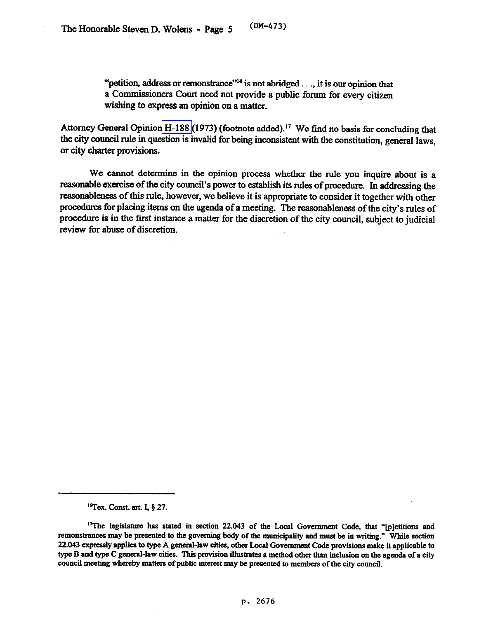"petition, address or remonstrance"<sup>16</sup> is not abridged. . ., it is our opinion that a Commissioners Court need not provide a public forum for every citizen wishing to express an opinion on a matter.

Attorney General Opinion [H-188](http://intranet1.oag.state.tx.us/opinions/h/h0188.pdf) (1973) (footnote added)." We find no basis for concluding that the city council rule in question is invalid for being inconsistent with the constitution, general laws, or city charter provisions.

We cannot determine in the opinion process whether the rule you inquire about is a reasonable exercise of the city council's power to establish its rules of procedure. In addressing the reasonableness of this rule, however, we believe it is appropriate to consider it together with other procedures for placing items on the agenda of a meeting. The reasonableness of the city's rules of procedure is in the first instance a matter for the discretion of the city council, subject to judicial review for abuse of discretion.

**<sup>&#</sup>x27;qex. Comt. art. I.5 27.** 

<sup>&</sup>lt;sup>17</sup>The legislature has stated in section 22.043 of the Local Government Code, that "[p]etitions and remonstrances may be presented to the governing body of the municipality and must be in writing." While section 22.043 expressly applies to type A general-law cities, other Local Government Code provisions make it applicable to type B and type C general-law cities. This provision illustrates a method other than inclusion on the agenda of a city **council meeting whereby matters of public interest may be presented to members of the city council.**